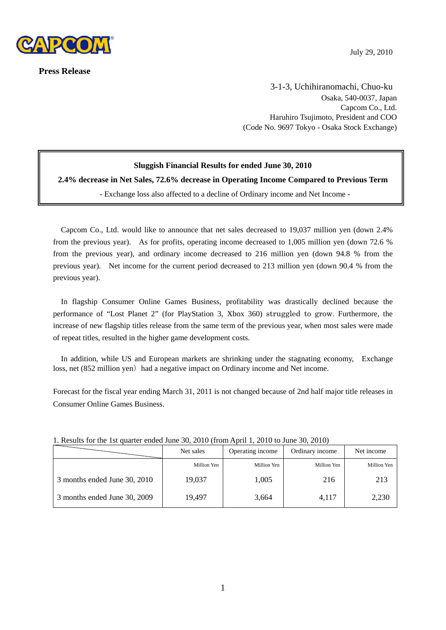

**Press Release** 

 3-1-3, Uchihiranomachi, Chuo-ku Osaka, 540-0037, Japan Capcom Co., Ltd. Haruhiro Tsujimoto, President and COO (Code No. 9697 Tokyo - Osaka Stock Exchange)

# **Sluggish Financial Results for ended June 30, 2010**

**2.4% decrease in Net Sales, 72.6% decrease in Operating Income Compared to Previous Term** 

- Exchange loss also affected to a decline of Ordinary income and Net Income -

Capcom Co., Ltd. would like to announce that net sales decreased to 19,037 million yen (down 2.4% from the previous year). As for profits, operating income decreased to 1,005 million yen (down 72.6 % from the previous year), and ordinary income decreased to 216 million yen (down 94.8 % from the previous year). Net income for the current period decreased to 213 million yen (down 90.4 % from the previous year).

In flagship Consumer Online Games Business, profitability was drastically declined because the performance of "Lost Planet 2" (for PlayStation 3, Xbox 360) struggled to grow. Furthermore, the increase of new flagship titles release from the same term of the previous year, when most sales were made of repeat titles, resulted in the higher game development costs.

In addition, while US and European markets are shrinking under the stagnating economy, Exchange loss, net (852 million yen) had a negative impact on Ordinary income and Net income.

Forecast for the fiscal year ending March 31, 2011 is not changed because of 2nd half major title releases in Consumer Online Games Business.

| 1. I Count 101 the 1st quarter ended sune 90, 2010 (Holl Tiplii 1, 2010 to sune 90, 2010) |             |                  |                 |             |  |  |
|-------------------------------------------------------------------------------------------|-------------|------------------|-----------------|-------------|--|--|
|                                                                                           | Net sales   | Operating income | Ordinary income | Net income  |  |  |
|                                                                                           | Million Yen | Million Yen      | Million Yen     | Million Yen |  |  |
| 3 months ended June 30, 2010                                                              | 19.037      | 1,005            | 216             | 213         |  |  |
| 3 months ended June 30, 2009                                                              | 19.497      | 3,664            | 4,117           | 2,230       |  |  |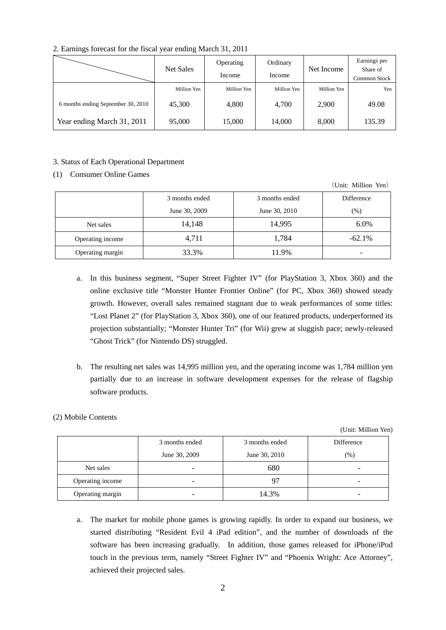2. Earnings forecast for the fiscal year ending March 31, 2011

|                                    | Net Sales   | Operating<br>Income | Ordinary<br>Income | Net Income  | Earnings per<br>Share of<br>Common Stock |
|------------------------------------|-------------|---------------------|--------------------|-------------|------------------------------------------|
|                                    | Million Yen | Million Yen         | Million Yen        | Million Yen | Yen                                      |
| 6 months ending September 30, 2010 | 45,300      | 4,800               | 4,700              | 2,900       | 49.08                                    |
| Year ending March 31, 2011         | 95,000      | 15,000              | 14,000             | 8,000       | 135.39                                   |

### 3. Status of Each Operational Department

### (1) Consumer Online Games

|                  |                |                | (Unit: Million Yen) |
|------------------|----------------|----------------|---------------------|
|                  | 3 months ended | 3 months ended | Difference          |
|                  | June 30, 2009  | June 30, 2010  | (%)                 |
| Net sales        | 14,148         | 14,995         | $6.0\%$             |
| Operating income | 4,711          | 1,784          | $-62.1\%$           |
| Operating margin | 33.3%          | 11.9%          |                     |

- a. In this business segment, "Super Street Fighter IV" (for PlayStation 3, Xbox 360) and the online exclusive title "Monster Hunter Frontier Online" (for PC, Xbox 360) showed steady growth. However, overall sales remained stagnant due to weak performances of some titles: "Lost Planet 2" (for PlayStation 3, Xbox 360), one of our featured products, underperformed its projection substantially; "Monster Hunter Tri" (for Wii) grew at sluggish pace; newly-released "Ghost Trick" (for Nintendo DS) struggled.
- b. The resulting net sales was 14,995 million yen, and the operating income was 1,784 million yen partially due to an increase in software development expenses for the release of flagship software products.

## (2) Mobile Contents

(Unit: Million Yen)

|                  | 3 months ended<br>June 30, 2009 | 3 months ended<br>June 30, 2010 | Difference<br>$(\%)$ |
|------------------|---------------------------------|---------------------------------|----------------------|
| Net sales        | $\overline{\phantom{a}}$        | 680                             |                      |
| Operating income | $\overline{\phantom{0}}$        |                                 |                      |
| Operating margin | -                               | 14.3%                           |                      |

a. The market for mobile phone games is growing rapidly. In order to expand our business, we started distributing "Resident Evil 4 iPad edition", and the number of downloads of the software has been increasing gradually. In addition, those games released for iPhone/iPod touch in the previous term, namely "Street Fighter IV" and "Phoenix Wright: Ace Attorney", achieved their projected sales.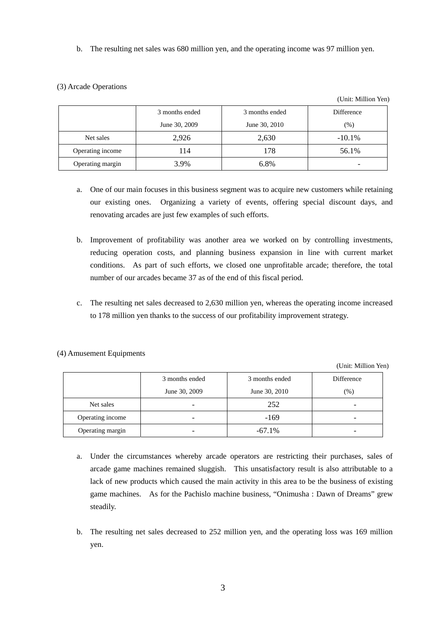b. The resulting net sales was 680 million yen, and the operating income was 97 million yen.

## (3) Arcade Operations

|                  |                |                | (Unit: Million Yen) |
|------------------|----------------|----------------|---------------------|
|                  | 3 months ended | 3 months ended | Difference          |
|                  | June 30, 2009  | June 30, 2010  | $(\%)$              |
| Net sales        | 2,926          | 2,630          | $-10.1\%$           |
| Operating income | 114            | 178            | 56.1%               |
| Operating margin | 3.9%           | 6.8%           |                     |

- a. One of our main focuses in this business segment was to acquire new customers while retaining our existing ones. Organizing a variety of events, offering special discount days, and renovating arcades are just few examples of such efforts.
- b. Improvement of profitability was another area we worked on by controlling investments, reducing operation costs, and planning business expansion in line with current market conditions. As part of such efforts, we closed one unprofitable arcade; therefore, the total number of our arcades became 37 as of the end of this fiscal period.
- c. The resulting net sales decreased to 2,630 million yen, whereas the operating income increased to 178 million yen thanks to the success of our profitability improvement strategy.

(Unit: Million Yen)

|                  | 3 months ended           | 3 months ended | Difference |
|------------------|--------------------------|----------------|------------|
|                  | June 30, 2009            | June 30, 2010  | (% )       |
| Net sales        |                          | 252            |            |
| Operating income | $\overline{\phantom{0}}$ | $-169$         |            |
| Operating margin |                          | $-67.1\%$      |            |

### (4) Amusement Equipments

- a. Under the circumstances whereby arcade operators are restricting their purchases, sales of arcade game machines remained sluggish. This unsatisfactory result is also attributable to a lack of new products which caused the main activity in this area to be the business of existing game machines. As for the Pachislo machine business, "Onimusha : Dawn of Dreams" grew steadily.
- b. The resulting net sales decreased to 252 million yen, and the operating loss was 169 million yen.